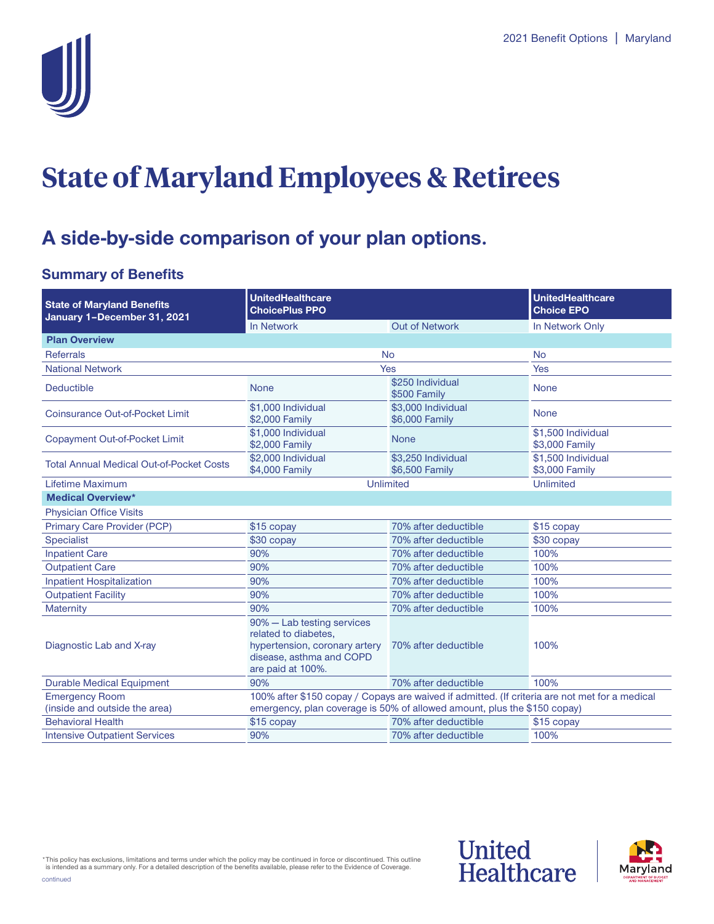

# **State of Maryland Employees & Retirees**

### **A side-by-side comparison of your plan options.**

### **Summary of Benefits**

| <b>State of Maryland Benefits</b><br>January 1-December 31, 2021 | <b>UnitedHealthcare</b><br><b>ChoicePlus PPO</b>                                                                                                                           |                                      | <b>UnitedHealthcare</b><br><b>Choice EPO</b> |  |
|------------------------------------------------------------------|----------------------------------------------------------------------------------------------------------------------------------------------------------------------------|--------------------------------------|----------------------------------------------|--|
|                                                                  | In Network                                                                                                                                                                 | <b>Out of Network</b>                | In Network Only                              |  |
| <b>Plan Overview</b>                                             |                                                                                                                                                                            |                                      |                                              |  |
| <b>Referrals</b>                                                 | <b>No</b>                                                                                                                                                                  |                                      | <b>No</b>                                    |  |
| <b>National Network</b>                                          | Yes                                                                                                                                                                        |                                      | Yes                                          |  |
| <b>Deductible</b>                                                | <b>None</b>                                                                                                                                                                | \$250 Individual<br>\$500 Family     | <b>None</b>                                  |  |
| Coinsurance Out-of-Pocket Limit                                  | \$1,000 Individual<br>\$2,000 Family                                                                                                                                       | \$3,000 Individual<br>\$6,000 Family | <b>None</b>                                  |  |
| Copayment Out-of-Pocket Limit                                    | \$1,000 Individual<br>\$2,000 Family                                                                                                                                       | <b>None</b>                          | \$1,500 Individual<br>\$3,000 Family         |  |
| <b>Total Annual Medical Out-of-Pocket Costs</b>                  | \$2,000 Individual<br>\$4,000 Family                                                                                                                                       | \$3,250 Individual<br>\$6,500 Family | \$1,500 Individual<br>\$3,000 Family         |  |
| Lifetime Maximum                                                 | Unlimited                                                                                                                                                                  |                                      | Unlimited                                    |  |
| <b>Medical Overview*</b>                                         |                                                                                                                                                                            |                                      |                                              |  |
| <b>Physician Office Visits</b>                                   |                                                                                                                                                                            |                                      |                                              |  |
| Primary Care Provider (PCP)                                      | \$15 copay                                                                                                                                                                 | 70% after deductible                 | \$15 copay                                   |  |
| <b>Specialist</b>                                                | \$30 copay                                                                                                                                                                 | 70% after deductible                 | \$30 copay                                   |  |
| <b>Inpatient Care</b>                                            | 90%                                                                                                                                                                        | 70% after deductible                 | 100%                                         |  |
| <b>Outpatient Care</b>                                           | 90%                                                                                                                                                                        | 70% after deductible                 | 100%                                         |  |
| <b>Inpatient Hospitalization</b>                                 | 90%                                                                                                                                                                        | 70% after deductible                 | 100%                                         |  |
| <b>Outpatient Facility</b>                                       | 90%                                                                                                                                                                        | 70% after deductible                 | 100%                                         |  |
| Maternity                                                        | 90%                                                                                                                                                                        | 70% after deductible                 | 100%                                         |  |
| Diagnostic Lab and X-ray                                         | 90% - Lab testing services<br>related to diabetes,<br>hypertension, coronary artery<br>disease, asthma and COPD<br>are paid at 100%.                                       | 70% after deductible                 | 100%                                         |  |
| <b>Durable Medical Equipment</b>                                 | 90%                                                                                                                                                                        | 70% after deductible                 | 100%                                         |  |
| <b>Emergency Room</b><br>(inside and outside the area)           | 100% after \$150 copay / Copays are waived if admitted. (If criteria are not met for a medical<br>emergency, plan coverage is 50% of allowed amount, plus the \$150 copay) |                                      |                                              |  |
| <b>Behavioral Health</b>                                         | \$15 copay                                                                                                                                                                 | 70% after deductible                 | \$15 copay                                   |  |
| <b>Intensive Outpatient Services</b>                             | 90%                                                                                                                                                                        | 70% after deductible                 | 100%                                         |  |

\*This policy has exclusions, limitations and terms under which the policy may be continued in force or discontinued. This outline is intended as a summary only. For a detailed description of the benefits available, please refer to the Evidence of Coverage. continued